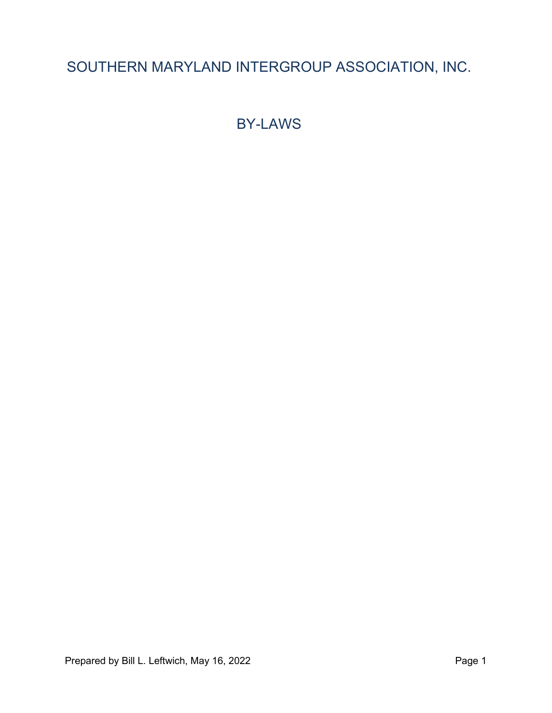## SOUTHERN MARYLAND INTERGROUP ASSOCIATION, INC.

BY-LAWS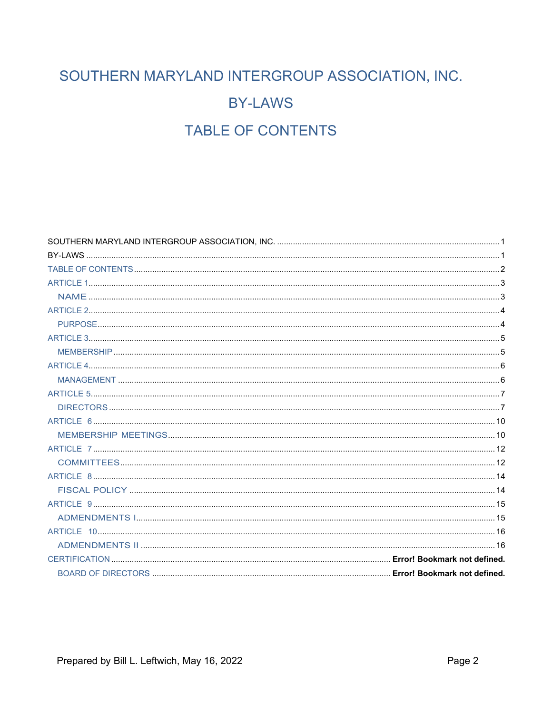# SOUTHERN MARYLAND INTERGROUP ASSOCIATION, INC. **BY-LAWS TABLE OF CONTENTS**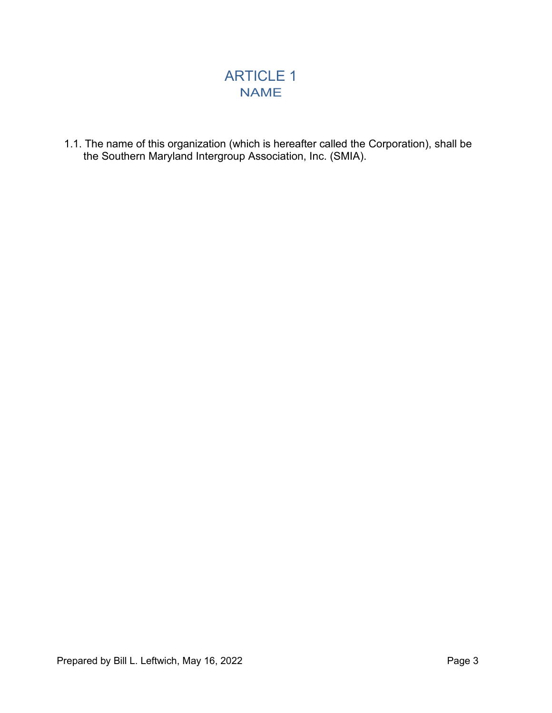## ARTICLE 1 NAME

1.1. The name of this organization (which is hereafter called the Corporation), shall be the Southern Maryland Intergroup Association, Inc. (SMIA).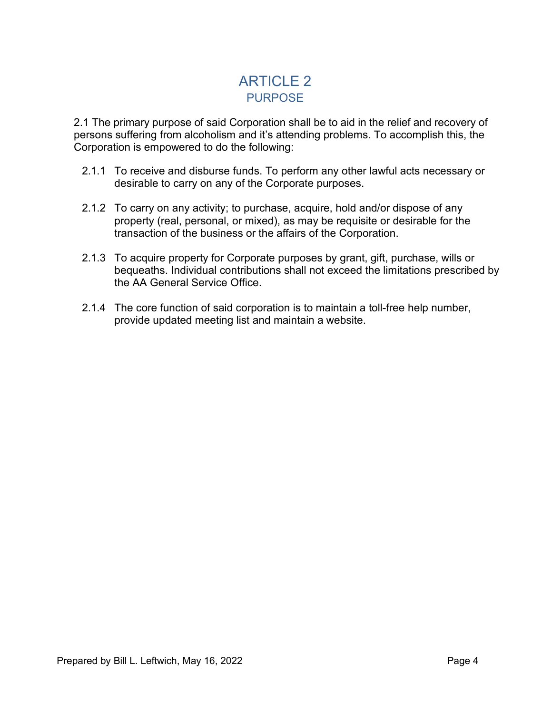## ARTICLE 2 PURPOSE

2.1 The primary purpose of said Corporation shall be to aid in the relief and recovery of persons suffering from alcoholism and it's attending problems. To accomplish this, the Corporation is empowered to do the following:

- 2.1.1 To receive and disburse funds. To perform any other lawful acts necessary or desirable to carry on any of the Corporate purposes.
- 2.1.2 To carry on any activity; to purchase, acquire, hold and/or dispose of any property (real, personal, or mixed), as may be requisite or desirable for the transaction of the business or the affairs of the Corporation.
- 2.1.3 To acquire property for Corporate purposes by grant, gift, purchase, wills or bequeaths. Individual contributions shall not exceed the limitations prescribed by the AA General Service Office.
- 2.1.4 The core function of said corporation is to maintain a toll-free help number, provide updated meeting list and maintain a website.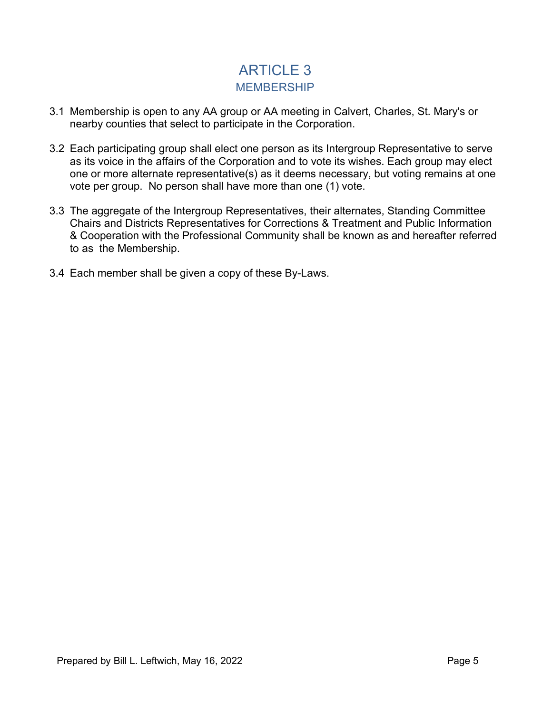## ARTICLE 3 **MEMBERSHIP**

- 3.1 Membership is open to any AA group or AA meeting in Calvert, Charles, St. Mary's or nearby counties that select to participate in the Corporation.
- 3.2 Each participating group shall elect one person as its Intergroup Representative to serve as its voice in the affairs of the Corporation and to vote its wishes. Each group may elect one or more alternate representative(s) as it deems necessary, but voting remains at one vote per group. No person shall have more than one (1) vote.
- 3.3 The aggregate of the Intergroup Representatives, their alternates, Standing Committee Chairs and Districts Representatives for Corrections & Treatment and Public Information & Cooperation with the Professional Community shall be known as and hereafter referred to as the Membership.
- 3.4 Each member shall be given a copy of these By-Laws.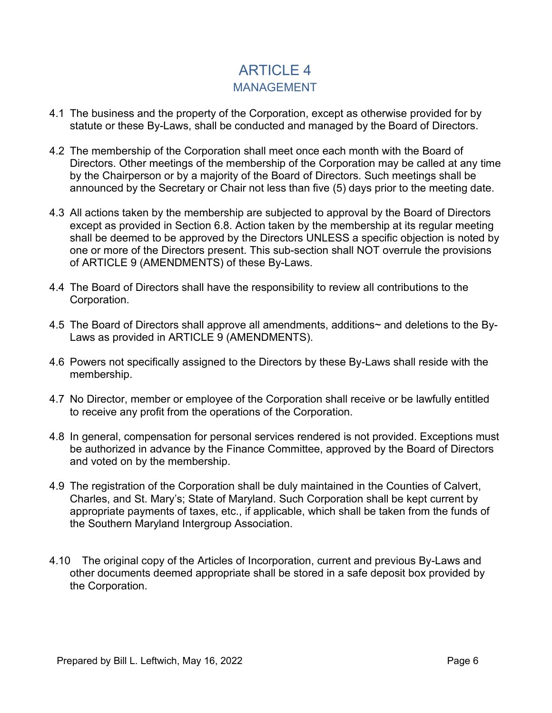## ARTICLE 4 MANAGEMENT

- 4.1 The business and the property of the Corporation, except as otherwise provided for by statute or these By-Laws, shall be conducted and managed by the Board of Directors.
- 4.2 The membership of the Corporation shall meet once each month with the Board of Directors. Other meetings of the membership of the Corporation may be called at any time by the Chairperson or by a majority of the Board of Directors. Such meetings shall be announced by the Secretary or Chair not less than five (5) days prior to the meeting date.
- 4.3 All actions taken by the membership are subjected to approval by the Board of Directors except as provided in Section 6.8. Action taken by the membership at its regular meeting shall be deemed to be approved by the Directors UNLESS a specific objection is noted by one or more of the Directors present. This sub-section shall NOT overrule the provisions of ARTICLE 9 (AMENDMENTS) of these By-Laws.
- 4.4 The Board of Directors shall have the responsibility to review all contributions to the Corporation.
- 4.5 The Board of Directors shall approve all amendments, additions~ and deletions to the By-Laws as provided in ARTICLE 9 (AMENDMENTS).
- 4.6 Powers not specifically assigned to the Directors by these By-Laws shall reside with the membership.
- 4.7 No Director, member or employee of the Corporation shall receive or be lawfully entitled to receive any profit from the operations of the Corporation.
- 4.8 In general, compensation for personal services rendered is not provided. Exceptions must be authorized in advance by the Finance Committee, approved by the Board of Directors and voted on by the membership.
- 4.9 The registration of the Corporation shall be duly maintained in the Counties of Calvert, Charles, and St. Mary's; State of Maryland. Such Corporation shall be kept current by appropriate payments of taxes, etc., if applicable, which shall be taken from the funds of the Southern Maryland Intergroup Association.
- 4.10 The original copy of the Articles of Incorporation, current and previous By-Laws and other documents deemed appropriate shall be stored in a safe deposit box provided by the Corporation.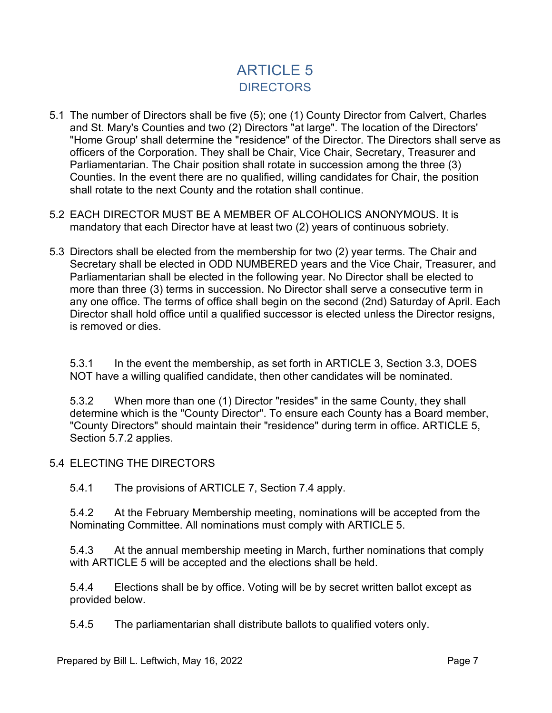## ARTICLE 5 **DIRECTORS**

- 5.1 The number of Directors shall be five (5); one (1) County Director from Calvert, Charles and St. Mary's Counties and two (2) Directors "at large". The location of the Directors' "Home Group' shall determine the "residence" of the Director. The Directors shall serve as officers of the Corporation. They shall be Chair, Vice Chair, Secretary, Treasurer and Parliamentarian. The Chair position shall rotate in succession among the three (3) Counties. In the event there are no qualified, willing candidates for Chair, the position shall rotate to the next County and the rotation shall continue.
- 5.2 EACH DIRECTOR MUST BE A MEMBER OF ALCOHOLICS ANONYMOUS. It is mandatory that each Director have at least two (2) years of continuous sobriety.
- 5.3 Directors shall be elected from the membership for two (2) year terms. The Chair and Secretary shall be elected in ODD NUMBERED years and the Vice Chair, Treasurer, and Parliamentarian shall be elected in the following year. No Director shall be elected to more than three (3) terms in succession. No Director shall serve a consecutive term in any one office. The terms of office shall begin on the second (2nd) Saturday of April. Each Director shall hold office until a qualified successor is elected unless the Director resigns, is removed or dies.

5.3.1 In the event the membership, as set forth in ARTICLE 3, Section 3.3, DOES NOT have a willing qualified candidate, then other candidates will be nominated.

5.3.2 When more than one (1) Director "resides" in the same County, they shall determine which is the "County Director". To ensure each County has a Board member, "County Directors" should maintain their "residence" during term in office. ARTICLE 5, Section 5.7.2 applies.

5.4 ELECTING THE DIRECTORS

5.4.1 The provisions of ARTICLE 7, Section 7.4 apply.

5.4.2 At the February Membership meeting, nominations will be accepted from the Nominating Committee. All nominations must comply with ARTICLE 5.

5.4.3 At the annual membership meeting in March, further nominations that comply with ARTICLE 5 will be accepted and the elections shall be held.

5.4.4 Elections shall be by office. Voting will be by secret written ballot except as provided below.

5.4.5 The parliamentarian shall distribute ballots to qualified voters only.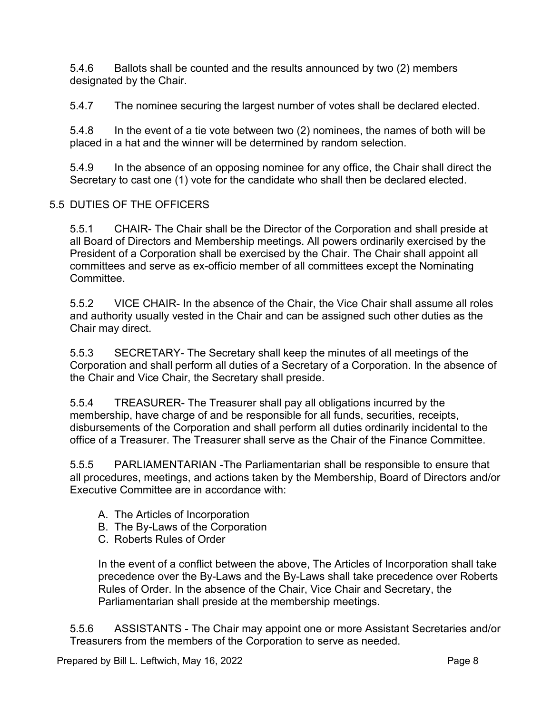5.4.6 Ballots shall be counted and the results announced by two (2) members designated by the Chair.

5.4.7 The nominee securing the largest number of votes shall be declared elected.

5.4.8 In the event of a tie vote between two (2) nominees, the names of both will be placed in a hat and the winner will be determined by random selection.

5.4.9 In the absence of an opposing nominee for any office, the Chair shall direct the Secretary to cast one (1) vote for the candidate who shall then be declared elected.

#### 5.5 DUTIES OF THE OFFICERS

5.5.1 CHAIR- The Chair shall be the Director of the Corporation and shall preside at all Board of Directors and Membership meetings. All powers ordinarily exercised by the President of a Corporation shall be exercised by the Chair. The Chair shall appoint all committees and serve as ex-officio member of all committees except the Nominating Committee.

5.5.2 VICE CHAIR- In the absence of the Chair, the Vice Chair shall assume all roles and authority usually vested in the Chair and can be assigned such other duties as the Chair may direct.

5.5.3 SECRETARY- The Secretary shall keep the minutes of all meetings of the Corporation and shall perform all duties of a Secretary of a Corporation. In the absence of the Chair and Vice Chair, the Secretary shall preside.

5.5.4 TREASURER- The Treasurer shall pay all obligations incurred by the membership, have charge of and be responsible for all funds, securities, receipts, disbursements of the Corporation and shall perform all duties ordinarily incidental to the office of a Treasurer. The Treasurer shall serve as the Chair of the Finance Committee.

5.5.5 PARLIAMENTARIAN -The Parliamentarian shall be responsible to ensure that all procedures, meetings, and actions taken by the Membership, Board of Directors and/or Executive Committee are in accordance with:

- A. The Articles of Incorporation
- B. The By-Laws of the Corporation
- C. Roberts Rules of Order

In the event of a conflict between the above, The Articles of Incorporation shall take precedence over the By-Laws and the By-Laws shall take precedence over Roberts Rules of Order. In the absence of the Chair, Vice Chair and Secretary, the Parliamentarian shall preside at the membership meetings.

5.5.6 ASSISTANTS - The Chair may appoint one or more Assistant Secretaries and/or Treasurers from the members of the Corporation to serve as needed.

Prepared by Bill L. Leftwich, May 16, 2022 **Prepared by Bill L. Leftwich, May 16, 2022**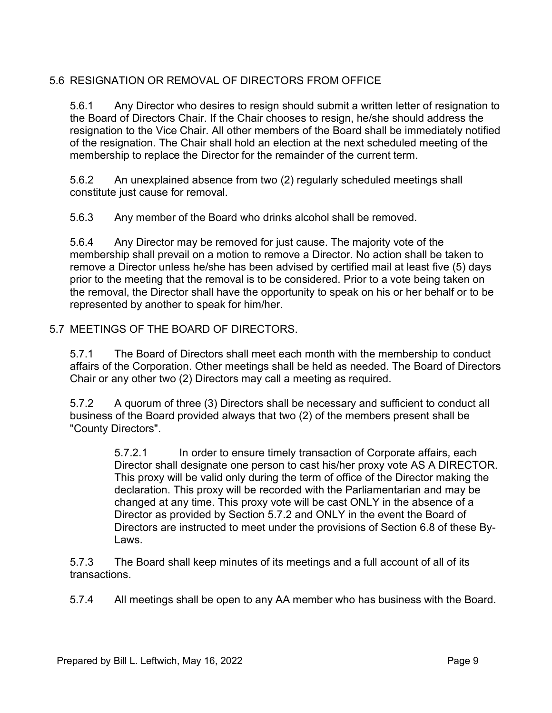#### 5.6 RESIGNATION OR REMOVAL OF DIRECTORS FROM OFFICE

5.6.1 Any Director who desires to resign should submit a written letter of resignation to the Board of Directors Chair. If the Chair chooses to resign, he/she should address the resignation to the Vice Chair. All other members of the Board shall be immediately notified of the resignation. The Chair shall hold an election at the next scheduled meeting of the membership to replace the Director for the remainder of the current term.

5.6.2 An unexplained absence from two (2) regularly scheduled meetings shall constitute just cause for removal.

5.6.3 Any member of the Board who drinks alcohol shall be removed.

5.6.4 Any Director may be removed for just cause. The majority vote of the membership shall prevail on a motion to remove a Director. No action shall be taken to remove a Director unless he/she has been advised by certified mail at least five (5) days prior to the meeting that the removal is to be considered. Prior to a vote being taken on the removal, the Director shall have the opportunity to speak on his or her behalf or to be represented by another to speak for him/her.

#### 5.7 MEETINGS OF THE BOARD OF DIRECTORS.

5.7.1 The Board of Directors shall meet each month with the membership to conduct affairs of the Corporation. Other meetings shall be held as needed. The Board of Directors Chair or any other two (2) Directors may call a meeting as required.

5.7.2 A quorum of three (3) Directors shall be necessary and sufficient to conduct all business of the Board provided always that two (2) of the members present shall be "County Directors".

> 5.7.2.1 In order to ensure timely transaction of Corporate affairs, each Director shall designate one person to cast his/her proxy vote AS A DIRECTOR. This proxy will be valid only during the term of office of the Director making the declaration. This proxy will be recorded with the Parliamentarian and may be changed at any time. This proxy vote will be cast ONLY in the absence of a Director as provided by Section 5.7.2 and ONLY in the event the Board of Directors are instructed to meet under the provisions of Section 6.8 of these By-Laws.

5.7.3 The Board shall keep minutes of its meetings and a full account of all of its transactions.

5.7.4 All meetings shall be open to any AA member who has business with the Board.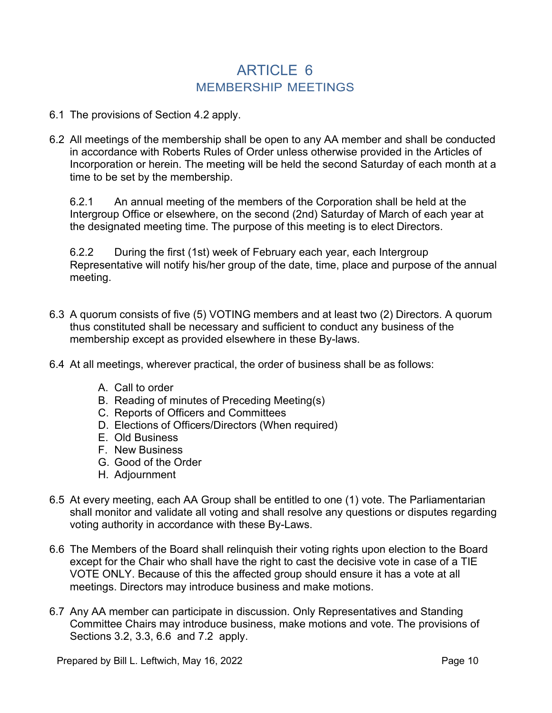### ARTICLE 6 MEMBERSHIP MEETINGS

- 6.1 The provisions of Section 4.2 apply.
- 6.2 All meetings of the membership shall be open to any AA member and shall be conducted in accordance with Roberts Rules of Order unless otherwise provided in the Articles of Incorporation or herein. The meeting will be held the second Saturday of each month at a time to be set by the membership.

6.2.1 An annual meeting of the members of the Corporation shall be held at the Intergroup Office or elsewhere, on the second (2nd) Saturday of March of each year at the designated meeting time. The purpose of this meeting is to elect Directors.

6.2.2 During the first (1st) week of February each year, each Intergroup Representative will notify his/her group of the date, time, place and purpose of the annual meeting.

- 6.3 A quorum consists of five (5) VOTING members and at least two (2) Directors. A quorum thus constituted shall be necessary and sufficient to conduct any business of the membership except as provided elsewhere in these By-laws.
- 6.4 At all meetings, wherever practical, the order of business shall be as follows:
	- A. Call to order
	- B. Reading of minutes of Preceding Meeting(s)
	- C. Reports of Officers and Committees
	- D. Elections of Officers/Directors (When required)
	- E. Old Business
	- F. New Business
	- G. Good of the Order
	- H. Adjournment
- 6.5 At every meeting, each AA Group shall be entitled to one (1) vote. The Parliamentarian shall monitor and validate all voting and shall resolve any questions or disputes regarding voting authority in accordance with these By-Laws.
- 6.6 The Members of the Board shall relinquish their voting rights upon election to the Board except for the Chair who shall have the right to cast the decisive vote in case of a TIE VOTE ONLY. Because of this the affected group should ensure it has a vote at all meetings. Directors may introduce business and make motions.
- 6.7 Any AA member can participate in discussion. Only Representatives and Standing Committee Chairs may introduce business, make motions and vote. The provisions of Sections 3.2, 3.3, 6.6 and 7.2 apply.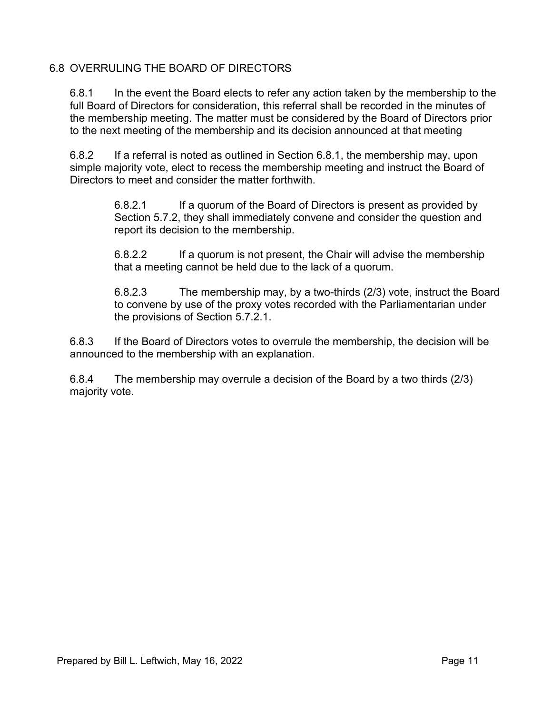#### 6.8 OVERRULING THE BOARD OF DIRECTORS

6.8.1 In the event the Board elects to refer any action taken by the membership to the full Board of Directors for consideration, this referral shall be recorded in the minutes of the membership meeting. The matter must be considered by the Board of Directors prior to the next meeting of the membership and its decision announced at that meeting

6.8.2 If a referral is noted as outlined in Section 6.8.1, the membership may, upon simple majority vote, elect to recess the membership meeting and instruct the Board of Directors to meet and consider the matter forthwith.

> 6.8.2.1 If a quorum of the Board of Directors is present as provided by Section 5.7.2, they shall immediately convene and consider the question and report its decision to the membership.

> 6.8.2.2 If a quorum is not present, the Chair will advise the membership that a meeting cannot be held due to the lack of a quorum.

6.8.2.3 The membership may, by a two-thirds (2/3) vote, instruct the Board to convene by use of the proxy votes recorded with the Parliamentarian under the provisions of Section 5.7.2.1.

6.8.3 If the Board of Directors votes to overrule the membership, the decision will be announced to the membership with an explanation.

6.8.4 The membership may overrule a decision of the Board by a two thirds (2/3) majority vote.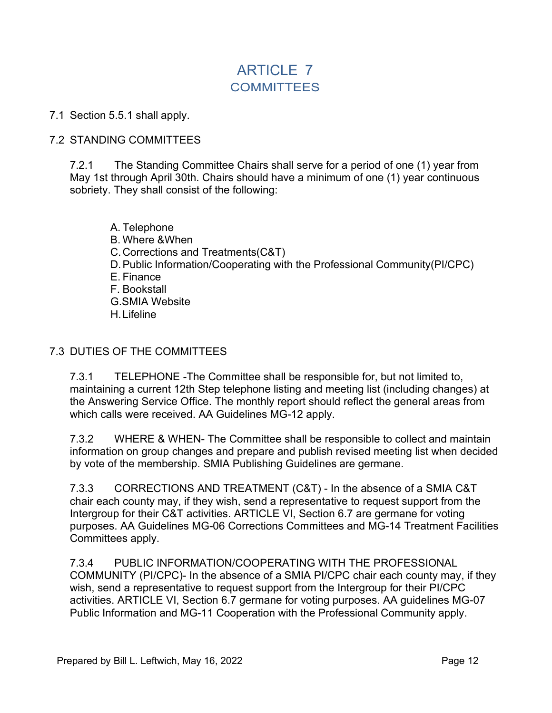## ARTICLE 7 **COMMITTEES**

#### 7.1 Section 5.5.1 shall apply.

#### 7.2 STANDING COMMITTEES

7.2.1 The Standing Committee Chairs shall serve for a period of one (1) year from May 1st through April 30th. Chairs should have a minimum of one (1) year continuous sobriety. They shall consist of the following:

A. Telephone B. Where &When C.Corrections and Treatments(C&T) D.Public Information/Cooperating with the Professional Community(PI/CPC) E. Finance F. Bookstall G.SMIA Website H.Lifeline

#### 7.3 DUTIES OF THE COMMITTEES

7.3.1 TELEPHONE -The Committee shall be responsible for, but not limited to, maintaining a current 12th Step telephone listing and meeting list (including changes) at the Answering Service Office. The monthly report should reflect the general areas from which calls were received. AA Guidelines MG-12 apply.

7.3.2 WHERE & WHEN- The Committee shall be responsible to collect and maintain information on group changes and prepare and publish revised meeting list when decided by vote of the membership. SMIA Publishing Guidelines are germane.

7.3.3 CORRECTIONS AND TREATMENT (C&T) - In the absence of a SMIA C&T chair each county may, if they wish, send a representative to request support from the Intergroup for their C&T activities. ARTICLE VI, Section 6.7 are germane for voting purposes. AA Guidelines MG-06 Corrections Committees and MG-14 Treatment Facilities Committees apply.

7.3.4 PUBLIC INFORMATION/COOPERATING WITH THE PROFESSIONAL COMMUNITY (PI/CPC)- In the absence of a SMIA PI/CPC chair each county may, if they wish, send a representative to request support from the Intergroup for their PI/CPC activities. ARTICLE VI, Section 6.7 germane for voting purposes. AA guidelines MG-07 Public Information and MG-11 Cooperation with the Professional Community apply.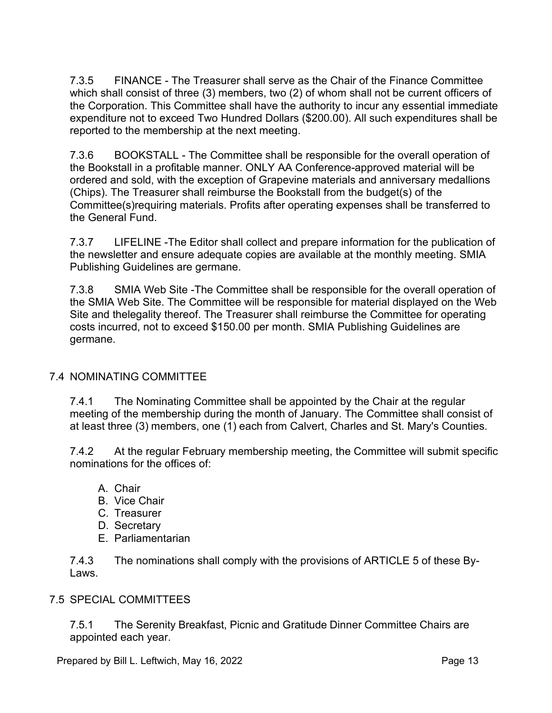7.3.5 FINANCE - The Treasurer shall serve as the Chair of the Finance Committee which shall consist of three (3) members, two (2) of whom shall not be current officers of the Corporation. This Committee shall have the authority to incur any essential immediate expenditure not to exceed Two Hundred Dollars (\$200.00). All such expenditures shall be reported to the membership at the next meeting.

7.3.6 BOOKSTALL - The Committee shall be responsible for the overall operation of the Bookstall in a profitable manner. ONLY AA Conference-approved material will be ordered and sold, with the exception of Grapevine materials and anniversary medallions (Chips). The Treasurer shall reimburse the Bookstall from the budget(s) of the Committee(s)requiring materials. Profits after operating expenses shall be transferred to the General Fund.

7.3.7 LIFELINE -The Editor shall collect and prepare information for the publication of the newsletter and ensure adequate copies are available at the monthly meeting. SMIA Publishing Guidelines are germane.

7.3.8 SMIA Web Site -The Committee shall be responsible for the overall operation of the SMIA Web Site. The Committee will be responsible for material displayed on the Web Site and thelegality thereof. The Treasurer shall reimburse the Committee for operating costs incurred, not to exceed \$150.00 per month. SMIA Publishing Guidelines are germane.

#### 7.4 NOMINATING COMMITTEE

7.4.1 The Nominating Committee shall be appointed by the Chair at the regular meeting of the membership during the month of January. The Committee shall consist of at least three (3) members, one (1) each from Calvert, Charles and St. Mary's Counties.

7.4.2 At the regular February membership meeting, the Committee will submit specific nominations for the offices of:

- A. Chair
- B. Vice Chair
- C. Treasurer
- D. Secretary
- E. Parliamentarian

7.4.3 The nominations shall comply with the provisions of ARTICLE 5 of these By-Laws.

#### 7.5 SPECIAL COMMITTEES

7.5.1 The Serenity Breakfast, Picnic and Gratitude Dinner Committee Chairs are appointed each year.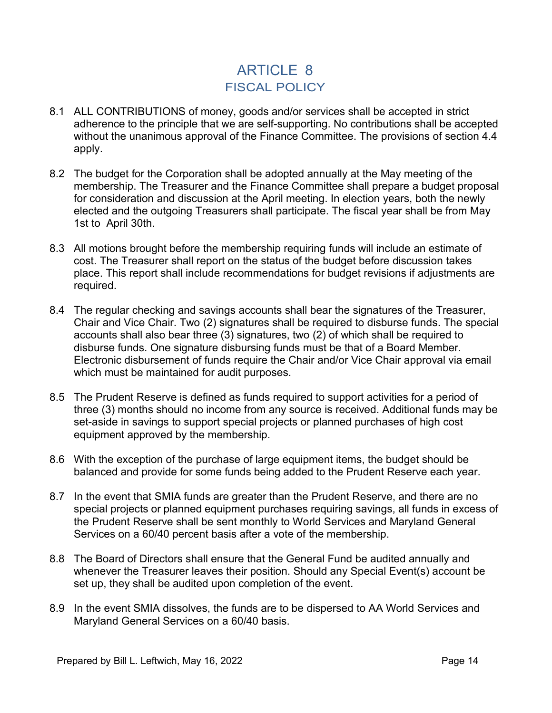## ARTICLE 8 FISCAL POLICY

- 8.1 ALL CONTRIBUTIONS of money, goods and/or services shall be accepted in strict adherence to the principle that we are self-supporting. No contributions shall be accepted without the unanimous approval of the Finance Committee. The provisions of section 4.4 apply.
- 8.2 The budget for the Corporation shall be adopted annually at the May meeting of the membership. The Treasurer and the Finance Committee shall prepare a budget proposal for consideration and discussion at the April meeting. In election years, both the newly elected and the outgoing Treasurers shall participate. The fiscal year shall be from May 1st to April 30th.
- 8.3 All motions brought before the membership requiring funds will include an estimate of cost. The Treasurer shall report on the status of the budget before discussion takes place. This report shall include recommendations for budget revisions if adjustments are required.
- 8.4 The regular checking and savings accounts shall bear the signatures of the Treasurer, Chair and Vice Chair. Two (2) signatures shall be required to disburse funds. The special accounts shall also bear three (3) signatures, two (2) of which shall be required to disburse funds. One signature disbursing funds must be that of a Board Member. Electronic disbursement of funds require the Chair and/or Vice Chair approval via email which must be maintained for audit purposes.
- 8.5 The Prudent Reserve is defined as funds required to support activities for a period of three (3) months should no income from any source is received. Additional funds may be set-aside in savings to support special projects or planned purchases of high cost equipment approved by the membership.
- 8.6 With the exception of the purchase of large equipment items, the budget should be balanced and provide for some funds being added to the Prudent Reserve each year.
- 8.7 In the event that SMIA funds are greater than the Prudent Reserve, and there are no special projects or planned equipment purchases requiring savings, all funds in excess of the Prudent Reserve shall be sent monthly to World Services and Maryland General Services on a 60/40 percent basis after a vote of the membership.
- 8.8 The Board of Directors shall ensure that the General Fund be audited annually and whenever the Treasurer leaves their position. Should any Special Event(s) account be set up, they shall be audited upon completion of the event.
- 8.9 In the event SMIA dissolves, the funds are to be dispersed to AA World Services and Maryland General Services on a 60/40 basis.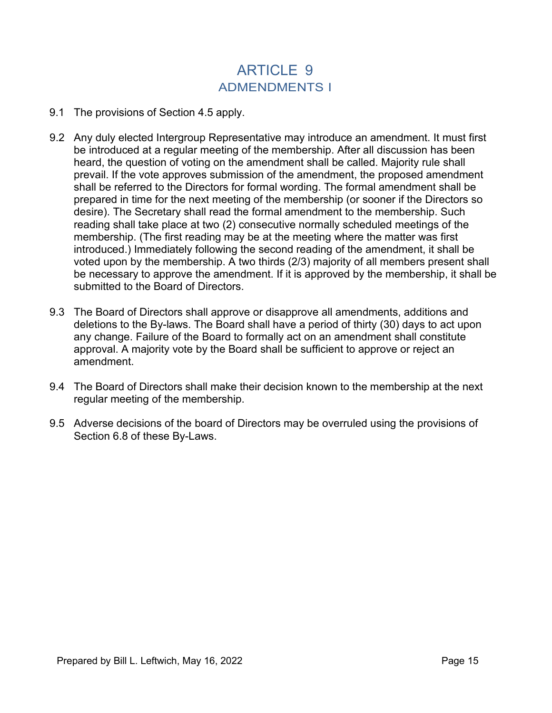## ARTICLE 9 ADMENDMENTS I

- 9.1 The provisions of Section 4.5 apply.
- 9.2 Any duly elected Intergroup Representative may introduce an amendment. It must first be introduced at a regular meeting of the membership. After all discussion has been heard, the question of voting on the amendment shall be called. Majority rule shall prevail. If the vote approves submission of the amendment, the proposed amendment shall be referred to the Directors for formal wording. The formal amendment shall be prepared in time for the next meeting of the membership (or sooner if the Directors so desire). The Secretary shall read the formal amendment to the membership. Such reading shall take place at two (2) consecutive normally scheduled meetings of the membership. (The first reading may be at the meeting where the matter was first introduced.) Immediately following the second reading of the amendment, it shall be voted upon by the membership. A two thirds (2/3) majority of all members present shall be necessary to approve the amendment. If it is approved by the membership, it shall be submitted to the Board of Directors.
- 9.3 The Board of Directors shall approve or disapprove all amendments, additions and deletions to the By-laws. The Board shall have a period of thirty (30) days to act upon any change. Failure of the Board to formally act on an amendment shall constitute approval. A majority vote by the Board shall be sufficient to approve or reject an amendment.
- 9.4 The Board of Directors shall make their decision known to the membership at the next regular meeting of the membership.
- 9.5 Adverse decisions of the board of Directors may be overruled using the provisions of Section 6.8 of these By-Laws.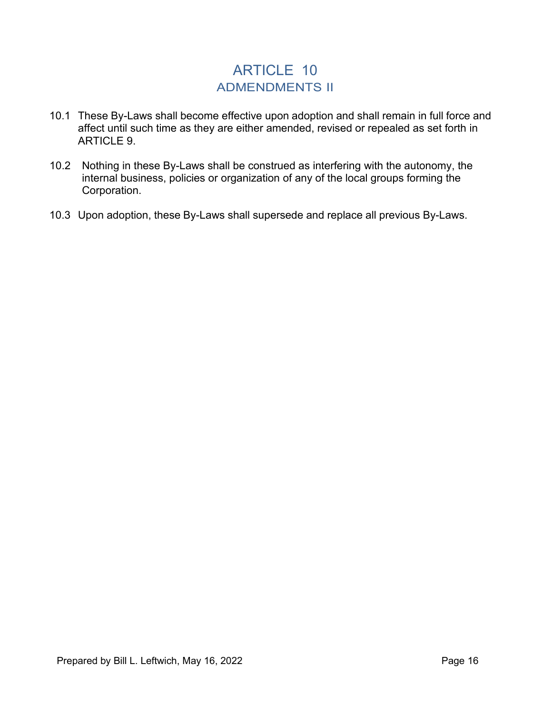### ARTICLE 10 ADMENDMENTS II

- 10.1 These By-Laws shall become effective upon adoption and shall remain in full force and affect until such time as they are either amended, revised or repealed as set forth in ARTICLE 9.
- 10.2 Nothing in these By-Laws shall be construed as interfering with the autonomy, the internal business, policies or organization of any of the local groups forming the Corporation.
- 10.3 Upon adoption, these By-Laws shall supersede and replace all previous By-Laws.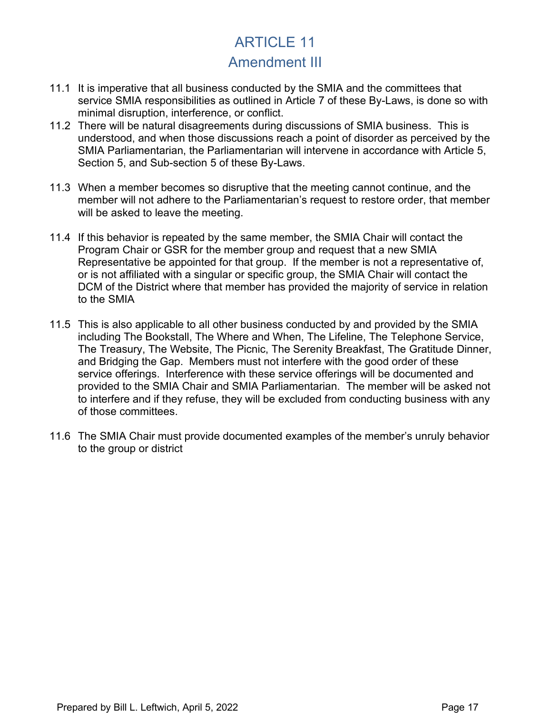## ARTICLE 11 Amendment III

- 11.1 It is imperative that all business conducted by the SMIA and the committees that service SMIA responsibilities as outlined in Article 7 of these By-Laws, is done so with minimal disruption, interference, or conflict.
- 11.2 There will be natural disagreements during discussions of SMIA business. This is understood, and when those discussions reach a point of disorder as perceived by the SMIA Parliamentarian, the Parliamentarian will intervene in accordance with Article 5, Section 5, and Sub-section 5 of these By-Laws.
- 11.3 When a member becomes so disruptive that the meeting cannot continue, and the member will not adhere to the Parliamentarian's request to restore order, that member will be asked to leave the meeting.
- 11.4 If this behavior is repeated by the same member, the SMIA Chair will contact the Program Chair or GSR for the member group and request that a new SMIA Representative be appointed for that group. If the member is not a representative of, or is not affiliated with a singular or specific group, the SMIA Chair will contact the DCM of the District where that member has provided the majority of service in relation to the SMIA
- 11.5 This is also applicable to all other business conducted by and provided by the SMIA including The Bookstall, The Where and When, The Lifeline, The Telephone Service, The Treasury, The Website, The Picnic, The Serenity Breakfast, The Gratitude Dinner, and Bridging the Gap. Members must not interfere with the good order of these service offerings. Interference with these service offerings will be documented and provided to the SMIA Chair and SMIA Parliamentarian. The member will be asked not to interfere and if they refuse, they will be excluded from conducting business with any of those committees.
- 11.6 The SMIA Chair must provide documented examples of the member's unruly behavior to the group or district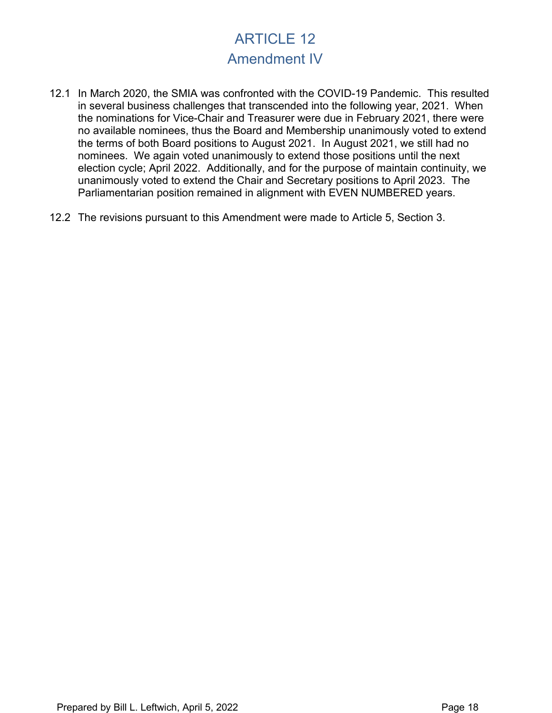## ARTICLE 12 Amendment IV

- 12.1 In March 2020, the SMIA was confronted with the COVID-19 Pandemic. This resulted in several business challenges that transcended into the following year, 2021. When the nominations for Vice-Chair and Treasurer were due in February 2021, there were no available nominees, thus the Board and Membership unanimously voted to extend the terms of both Board positions to August 2021. In August 2021, we still had no nominees. We again voted unanimously to extend those positions until the next election cycle; April 2022. Additionally, and for the purpose of maintain continuity, we unanimously voted to extend the Chair and Secretary positions to April 2023. The Parliamentarian position remained in alignment with EVEN NUMBERED years.
- 12.2 The revisions pursuant to this Amendment were made to Article 5, Section 3.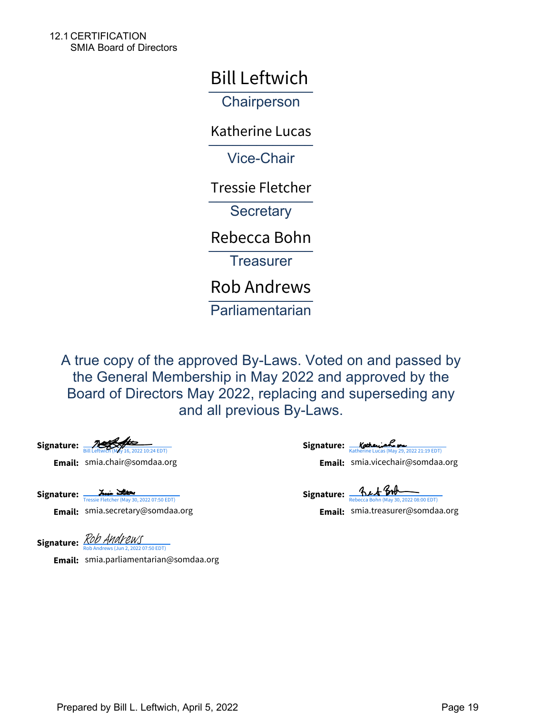12.1 CERTIFICATION SMIA Board of Directors

Bill Leftwich

**Chairperson** 

\_\_\_\_\_\_\_\_\_\_\_\_\_ Katherine Lucas

Vice-Chair

\_\_\_\_\_\_\_\_\_\_\_\_\_ Tressie Fletcher

**Secretary** 

Rebecca Bohn<br>————————————————————

**Treasurer** 

Rob Andrews

**Parliamentarian** 

A true copy of the approved By-Laws. Voted on and passed by the General Membership in May 2022 and approved by the Board of Directors May 2022, replacing and superseding any and all previous By-Laws.

**Signature:** [Bill Leftwich \(May 16, 2022 10:24 EDT\)](https://na1.documents.adobe.com/verifier?tx=CBJCHBCAABAAjJ_e1dEkP4UcIpHhy9i11z2gotjVviDf) **Email:** smia.chair@somdaa.org

Signature: [Tressie Fletcher \(May 30, 2022 07:50 EDT\)](https://na1.documents.adobe.com/verifier?tx=CBJCHBCAABAAjJ_e1dEkP4UcIpHhy9i11z2gotjVviDf)

**Email:** smia.secretary@somdaa.org

**Signature:** Katherine Lucas (May 29, 2022 21:19 EDT) **Email:** smia.chair@somdaa.org [Katherine Lucas \(May 29, 2022 21:19 EDT\)](https://na1.documents.adobe.com/verifier?tx=CBJCHBCAABAAjJ_e1dEkP4UcIpHhy9i11z2gotjVviDf) smia.vicechair@somdaa.org

**Signature:** ALA BOR **Email:** smia.secretary@somdaa.org [Rebecca Bohn \(May 30, 2022 08:00 EDT\)](https://na1.documents.adobe.com/verifier?tx=CBJCHBCAABAAjJ_e1dEkP4UcIpHhy9i11z2gotjVviDf) smia.treasurer@somdaa.org

Signature: *[Rob Andrews](https://na1.documents.adobe.com/verifier?tx=CBJCHBCAABAAjJ_e1dEkP4UcIpHhy9i11z2gotjVviDf)* ws (Jun 2, 2022 07:50 EDT)

**Email:** smia.parliamentarian@somdaa.org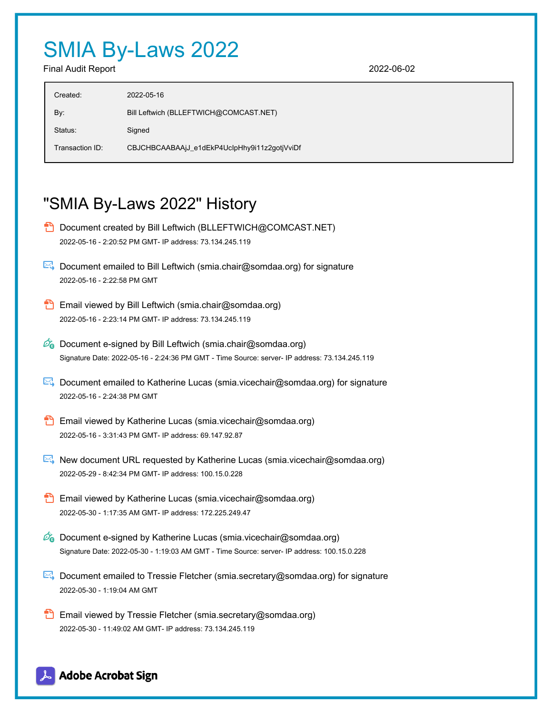# SMIA By-Laws 2022

Final Audit Report 2022-06-02

## "SMIA By-Laws 2022" History

- **D** Document created by Bill Leftwich (BLLEFTWICH@COMCAST.NET) 2022-05-16 - 2:20:52 PM GMT- IP address: 73.134.245.119
- $\boxtimes$  Document emailed to Bill Leftwich (smia.chair@somdaa.org) for signature 2022-05-16 - 2:22:58 PM GMT
- **Email viewed by Bill Leftwich (smia.chair@somdaa.org)** 2022-05-16 - 2:23:14 PM GMT- IP address: 73.134.245.119
- $\mathscr{O}_\bullet$  Document e-signed by Bill Leftwich (smia.chair@somdaa.org) Signature Date: 2022-05-16 - 2:24:36 PM GMT - Time Source: server- IP address: 73.134.245.119
- Document emailed to Katherine Lucas (smia.vicechair@somdaa.org) for signature 2022-05-16 - 2:24:38 PM GMT
- **Email viewed by Katherine Lucas (smia.vicechair@somdaa.org)** 2022-05-16 - 3:31:43 PM GMT- IP address: 69.147.92.87
- New document URL requested by Katherine Lucas (smia.vicechair@somdaa.org) 2022-05-29 - 8:42:34 PM GMT- IP address: 100.15.0.228
- **Email viewed by Katherine Lucas (smia.vicechair@somdaa.org)** 2022-05-30 - 1:17:35 AM GMT- IP address: 172.225.249.47
- $\mathscr{O}_0$  Document e-signed by Katherine Lucas (smia.vicechair@somdaa.org) Signature Date: 2022-05-30 - 1:19:03 AM GMT - Time Source: server- IP address: 100.15.0.228
- Document emailed to Tressie Fletcher (smia.secretary@somdaa.org) for signature 2022-05-30 - 1:19:04 AM GMT
- **Email viewed by Tressie Fletcher (smia.secretary@somdaa.org)** 2022-05-30 - 11:49:02 AM GMT- IP address: 73.134.245.119

### Adobe Acrobat Sign